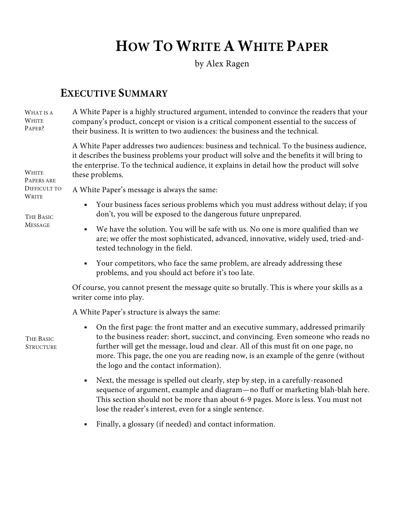# **HOW TO WRITE A WHITE PAPER**

by Alex Ragen

# **EXECUTIVE SUMMARY**

A White Paper is a highly structured argument, intended to convince the readers that your company's product, concept or vision is a critical component essential to the success of their business. It is written to two audiences: the business and the technical. WHAT IS A WHITE PAPER?

> A White Paper addresses two audiences: business and technical. To the business audience, it describes the business problems your product will solve and the benefits it will bring to the enterprise. To the technical audience, it explains in detail how the product will solve these problems.

PAPERS ARE DIFFICULT TO WRITE

WHITE

THE BASIC MESSAGE

A White Paper's message is always the same:

- § Your business faces serious problems which you must address without delay; if you don't, you will be exposed to the dangerous future unprepared.
- § We have the solution. You will be safe with us. No one is more qualified than we are; we offer the most sophisticated, advanced, innovative, widely used, tried-andtested technology in the field.
- § Your competitors, who face the same problem, are already addressing these problems, and you should act before it's too late.

Of course, you cannot present the message quite so brutally. This is where your skills as a writer come into play.

A White Paper's structure is always the same:

• On the first page: the front matter and an executive summary, addressed primarily to the business reader: short, succinct, and convincing. Even someone who reads no further will get the message, loud and clear. All of this must fit on one page, no more. This page, the one you are reading now, is an example of the genre (without the logo and the contact information).

- Next, the message is spelled out clearly, step by step, in a carefully-reasoned sequence of argument, example and diagram—no fluff or marketing blah-blah here. This section should not be more than about 6-9 pages. More is less. You must not lose the reader's interest, even for a single sentence.
- § Finally, a glossary (if needed) and contact information.

THE BASIC **STRUCTURE**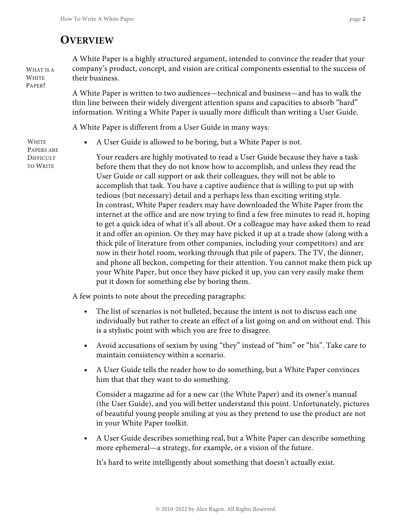# **OVERVIEW**

A White Paper is a highly structured argument, intended to convince the reader that your company's product, concept, and vision are critical components essential to the success of their business.

A White Paper is written to two audiences—technical and business—and has to walk the thin line between their widely divergent attention spans and capacities to absorb "hard" information. Writing a White Paper is usually more difficult than writing a User Guide.

A White Paper is different from a User Guide in many ways:

WHITE PAPERS ARE DIFFICULT TO WRITE

WHAT IS A WHITE PAPER?

■ A User Guide is allowed to be boring, but a White Paper is not.

Your readers are highly motivated to read a User Guide because they have a task before them that they do not know how to accomplish, and unless they read the User Guide or call support or ask their colleagues, they will not be able to accomplish that task. You have a captive audience that is willing to put up with tedious (but necessary) detail and a perhaps less than exciting writing style. In contrast, White Paper readers may have downloaded the White Paper from the internet at the office and are now trying to find a few free minutes to read it, hoping to get a quick idea of what it's all about. Or a colleague may have asked them to read it and offer an opinion. Or they may have picked it up at a trade show (along with a thick pile of literature from other companies, including your competitors) and are now in their hotel room, working through that pile of papers. The TV, the dinner, and phone all beckon, competing for their attention. You cannot make them pick up your White Paper, but once they have picked it up, you can very easily make them put it down for something else by boring them.

A few points to note about the preceding paragraphs:

- The list of scenarios is not bulleted, because the intent is not to discuss each one individually but rather to create an effect of a list going on and on without end. This is a stylistic point with which you are free to disagree.
- § Avoid accusations of sexism by using "they" instead of "him" or "his". Take care to maintain consistency within a scenario.
- § A User Guide tells the reader how to do something, but a White Paper convinces him that that they want to do something.

Consider a magazine ad for a new car (the White Paper) and its owner's manual (the User Guide), and you will better understand this point. Unfortunately, pictures of beautiful young people smiling at you as they pretend to use the product are not in your White Paper toolkit.

§ A User Guide describes something real, but a White Paper can describe something more ephemeral—a strategy, for example, or a vision of the future.

It's hard to write intelligently about something that doesn't actually exist.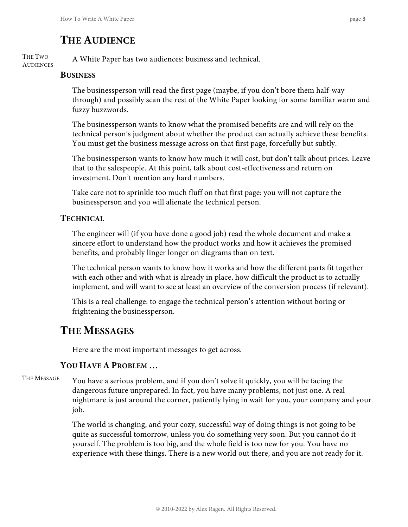# **THE AUDIENCE**

A White Paper has two audiences: business and technical. THE TWO **AUDIENCES** 

#### **BUSINESS**

The businessperson will read the first page (maybe, if you don't bore them half-way through) and possibly scan the rest of the White Paper looking for some familiar warm and fuzzy buzzwords.

The businessperson wants to know what the promised benefits are and will rely on the technical person's judgment about whether the product can actually achieve these benefits. You must get the business message across on that first page, forcefully but subtly.

The businessperson wants to know how much it will cost, but don't talk about prices. Leave that to the salespeople. At this point, talk about cost-effectiveness and return on investment. Don't mention any hard numbers.

Take care not to sprinkle too much fluff on that first page: you will not capture the businessperson and you will alienate the technical person.

# **TECHNICAL**

The engineer will (if you have done a good job) read the whole document and make a sincere effort to understand how the product works and how it achieves the promised benefits, and probably linger longer on diagrams than on text.

The technical person wants to know how it works and how the different parts fit together with each other and with what is already in place, how difficult the product is to actually implement, and will want to see at least an overview of the conversion process (if relevant).

This is a real challenge: to engage the technical person's attention without boring or frightening the businessperson.

# **THE MESSAGES**

Here are the most important messages to get across.

### **YOU HAVE A PROBLEM …**

You have a serious problem, and if you don't solve it quickly, you will be facing the dangerous future unprepared. In fact, you have many problems, not just one. A real nightmare is just around the corner, patiently lying in wait for you, your company and your job. THE MESSAGE

> The world is changing, and your cozy, successful way of doing things is not going to be quite as successful tomorrow, unless you do something very soon. But you cannot do it yourself. The problem is too big, and the whole field is too new for you. You have no experience with these things. There is a new world out there, and you are not ready for it.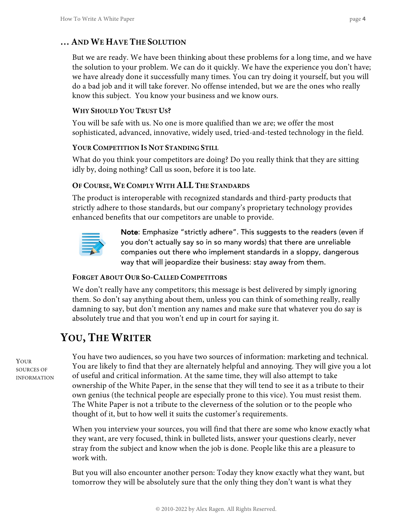# **… AND WE HAVE THE SOLUTION**

But we are ready. We have been thinking about these problems for a long time, and we have the solution to your problem. We can do it quickly. We have the experience you don't have; we have already done it successfully many times. You can try doing it yourself, but you will do a bad job and it will take forever. No offense intended, but we are the ones who really know this subject. You know your business and we know ours.

#### **WHY SHOULD YOU TRUST US?**

You will be safe with us. No one is more qualified than we are; we offer the most sophisticated, advanced, innovative, widely used, tried-and-tested technology in the field.

#### **YOUR COMPETITION IS NOT STANDING STILL**

What do you think your competitors are doing? Do you really think that they are sitting idly by, doing nothing? Call us soon, before it is too late.

### **OF COURSE, WE COMPLY WITH ALL THE STANDARDS**

The product is interoperable with recognized standards and third-party products that strictly adhere to those standards, but our company's proprietary technology provides enhanced benefits that our competitors are unable to provide.



Note: Emphasize "strictly adhere". This suggests to the readers (even if you don't actually say so in so many words) that there are unreliable companies out there who implement standards in a sloppy, dangerous way that will jeopardize their business: stay away from them.

### **FORGET ABOUT OUR SO-CALLED COMPETITORS**

We don't really have any competitors; this message is best delivered by simply ignoring them. So don't say anything about them, unless you can think of something really, really damning to say, but don't mention any names and make sure that whatever you do say is absolutely true and that you won't end up in court for saying it.

# **YOU, THE WRITER**

YOUR SOURCES OF INFORMATION You have two audiences, so you have two sources of information: marketing and technical. You are likely to find that they are alternately helpful and annoying. They will give you a lot of useful and critical information. At the same time, they will also attempt to take ownership of the White Paper, in the sense that they will tend to see it as a tribute to their own genius (the technical people are especially prone to this vice). You must resist them. The White Paper is not a tribute to the cleverness of the solution or to the people who thought of it, but to how well it suits the customer's requirements.

When you interview your sources, you will find that there are some who know exactly what they want, are very focused, think in bulleted lists, answer your questions clearly, never stray from the subject and know when the job is done. People like this are a pleasure to work with.

But you will also encounter another person: Today they know exactly what they want, but tomorrow they will be absolutely sure that the only thing they don't want is what they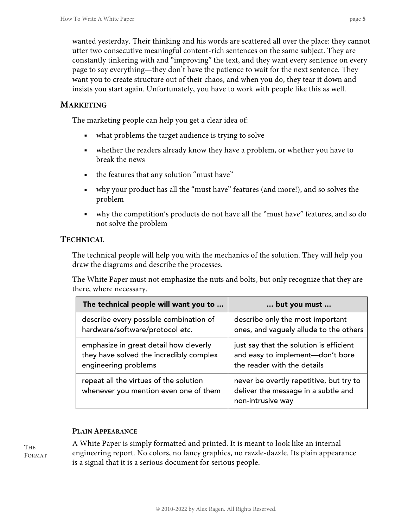wanted yesterday. Their thinking and his words are scattered all over the place: they cannot utter two consecutive meaningful content-rich sentences on the same subject. They are constantly tinkering with and "improving" the text, and they want every sentence on every page to say everything—they don't have the patience to wait for the next sentence. They want you to create structure out of their chaos, and when you do, they tear it down and insists you start again. Unfortunately, you have to work with people like this as well.

### **MARKETING**

The marketing people can help you get a clear idea of:

- what problems the target audience is trying to solve
- whether the readers already know they have a problem, or whether you have to break the news
- the features that any solution "must have"
- why your product has all the "must have" features (and more!), and so solves the problem
- why the competition's products do not have all the "must have" features, and so do not solve the problem

# **TECHNICAL**

The technical people will help you with the mechanics of the solution. They will help you draw the diagrams and describe the processes.

The White Paper must not emphasize the nuts and bolts, but only recognize that they are there, where necessary.

| The technical people will want you to                                           | but you must                                                                                        |
|---------------------------------------------------------------------------------|-----------------------------------------------------------------------------------------------------|
| describe every possible combination of                                          | describe only the most important                                                                    |
| hardware/software/protocol etc.                                                 | ones, and vaguely allude to the others                                                              |
| emphasize in great detail how cleverly                                          | just say that the solution is efficient                                                             |
| they have solved the incredibly complex                                         | and easy to implement-don't bore                                                                    |
| engineering problems                                                            | the reader with the details                                                                         |
| repeat all the virtues of the solution<br>whenever you mention even one of them | never be overtly repetitive, but try to<br>deliver the message in a subtle and<br>non-intrusive way |

#### **PLAIN APPEARANCE**

THE FORMAT A White Paper is simply formatted and printed. It is meant to look like an internal engineering report. No colors, no fancy graphics, no razzle-dazzle. Its plain appearance is a signal that it is a serious document for serious people.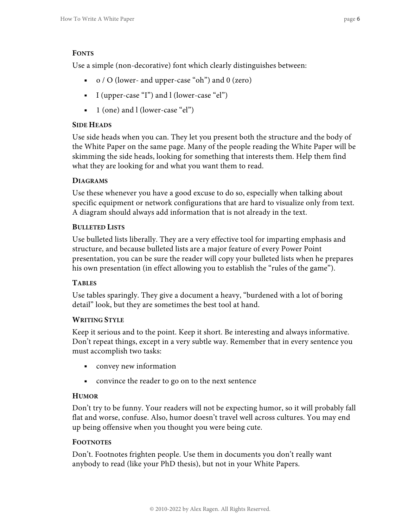#### **FONTS**

Use a simple (non-decorative) font which clearly distinguishes between:

- § o / O (lower- and upper-case "oh") and 0 (zero)
- § I (upper-case "I") and l (lower-case "el")
- $\blacksquare$  1 (one) and l (lower-case "el")

#### **SIDE HEADS**

Use side heads when you can. They let you present both the structure and the body of the White Paper on the same page. Many of the people reading the White Paper will be skimming the side heads, looking for something that interests them. Help them find what they are looking for and what you want them to read.

#### **DIAGRAMS**

Use these whenever you have a good excuse to do so, especially when talking about specific equipment or network configurations that are hard to visualize only from text. A diagram should always add information that is not already in the text.

#### **BULLETED LISTS**

Use bulleted lists liberally. They are a very effective tool for imparting emphasis and structure, and because bulleted lists are a major feature of every Power Point presentation, you can be sure the reader will copy your bulleted lists when he prepares his own presentation (in effect allowing you to establish the "rules of the game").

#### **TABLES**

Use tables sparingly. They give a document a heavy, "burdened with a lot of boring detail" look, but they are sometimes the best tool at hand.

#### **WRITING STYLE**

Keep it serious and to the point. Keep it short. Be interesting and always informative. Don't repeat things, except in a very subtle way. Remember that in every sentence you must accomplish two tasks:

- convey new information
- convince the reader to go on to the next sentence

#### **HUMOR**

Don't try to be funny. Your readers will not be expecting humor, so it will probably fall flat and worse, confuse. Also, humor doesn't travel well across cultures. You may end up being offensive when you thought you were being cute.

#### **FOOTNOTES**

Don't. Footnotes frighten people. Use them in documents you don't really want anybody to read (like your PhD thesis), but not in your White Papers.